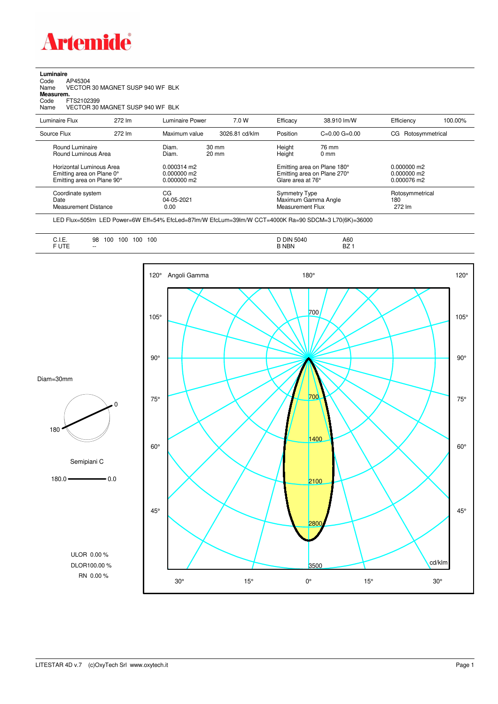

 $\overline{a}$ 

| Luminaire       |                                  |                                  |                 |                |          |                       |                    |         |  |  |
|-----------------|----------------------------------|----------------------------------|-----------------|----------------|----------|-----------------------|--------------------|---------|--|--|
| Code            | AP45304                          |                                  |                 |                |          |                       |                    |         |  |  |
| Name            | VECTOR 30 MAGNET SUSP 940 WF BLK |                                  |                 |                |          |                       |                    |         |  |  |
| Measurem.       |                                  |                                  |                 |                |          |                       |                    |         |  |  |
| Code            | FTS2102399                       |                                  |                 |                |          |                       |                    |         |  |  |
| Name            |                                  | VECTOR 30 MAGNET SUSP 940 WF BLK |                 |                |          |                       |                    |         |  |  |
| Luminaire Flux  |                                  | 272 lm                           | Luminaire Power | 7.0 W          | Efficacy | 38.910 lm/W           | Efficiency         | 100.00% |  |  |
| Source Flux     |                                  | 272 lm                           | Maximum value   | 3026.81 cd/klm | Position | $C = 0.00$ $G = 0.00$ | CG Rotosymmetrical |         |  |  |
| Round Luminaire |                                  |                                  | Diam.           | 30 mm          | Height   | 76 mm                 |                    |         |  |  |

| Source Flux                                                                         | 272 lm | Maximum value                                 | 3026.81 cd/klm | <b>Position</b>                          | $C=0.00$ $G=0.00$                                          | CG Rotosymmetrical                            |  |
|-------------------------------------------------------------------------------------|--------|-----------------------------------------------|----------------|------------------------------------------|------------------------------------------------------------|-----------------------------------------------|--|
| Round Luminaire<br>Round Luminous Area                                              |        | Diam.<br>Diam.                                | 30 mm<br>20 mm | Height<br>Height                         | 76 mm<br>$0 \text{ mm}$                                    |                                               |  |
| Horizontal Luminous Area<br>Emitting area on Plane 0°<br>Emitting area on Plane 90° |        | $0.000314$ m2<br>$0.000000$ m2<br>0.000000 m2 |                | Glare area at 76°                        | Emitting area on Plane 180°<br>Emitting area on Plane 270° | $0.000000$ m2<br>$0.000000$ m2<br>0.000076 m2 |  |
| Coordinate system<br>Date<br><b>Measurement Distance</b>                            |        | CG<br>04-05-2021<br>0.00                      |                | <b>Symmetry Type</b><br>Measurement Flux | Maximum Gamma Angle                                        | Rotosymmetrical<br>180<br>272 lm              |  |

LED Flux=505lm LED Power=6W Eff=54% EfcLed=87lm/W EfcLum=39lm/W CCT=4000K Ra=90 SDCM=3 L70(6K)=36000